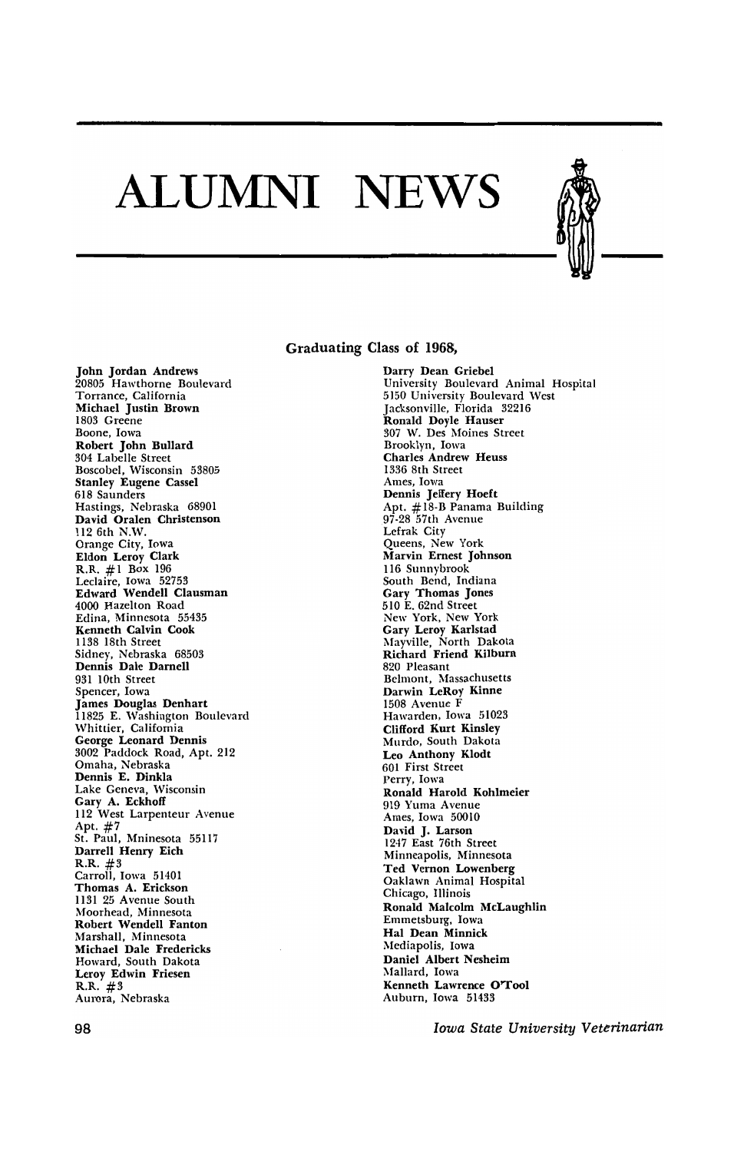## **ALUMNI NEWS**



## Graduating Class of 1968,

John Jordan Andrews 20805 Hawthorne Boulevard Torrance, California Michael Justin Brown 1803 Greene Boone, Iowa Robert John Bullard 304 Labelle Street Boscobel, Wisconsin 53805 Stanley Eugene Cassel 618 Saunders Hastings, Nebraska 68901 David Oralen Christenson 112 6th N.W. Orange City, Iowa Eldon Leroy Clark R.R. #1 Box 196 Leclaire, Iowa 52753 Edward Wendell Clausman 4000 Hazelton Road Edina, Minnesota 55435 Kenneth Calvin Cook 1138 18th Street Sidney, Nebraska 68503 Dennis Dale Darnell 931 10th Street Spencer, Iowa James Douglas Denhart 11825 E. Washington Boulevard Whittier, California George Leonard Dennis 3002 Paddock Road, Apt. 212 Omaha, Nebraska Dennis E. Dinkla Lake Geneva, Wisconsin Gary A. Eckhoff 112 West Larpenteur Avenue Apt. #7 St. Paul, Mninesota 55117 Darrell Henry Eich R.R. #3 Carroll, Iowa 51401 Thomas A. Erickson 1131 25 Avenue South Moorhead, Minnesota Robert Wendell Fanton Marshall, Minnesota Michael Dale Fredericks Howard, South Dakota Leroy Edwin Friesen  $R.R. #3$ Aurora, Nebraska

Darry Dean Griebel University Boulevard Animal Hospital 5150 University Boulevard West ]acksonviJIe, Florida 32216 Ronald Doyle Hauser 307 W. Des Moines Street Brooklyn, Iowa Charles Andrew Heuss 1336 8th Street Ames, Iowa Dennis Jeffery Hoeft Apt. #18·B Panama Building 97·28 57th Avenue Lefrak City Queens, New York Marvin Ernest Johnson 116 Sunnybrook South Bend, Indiana Gary Thomas Jones 510 E. 62nd Street New York, New York Gary Leroy Karlstad Mayville, North Dakota Richard Friend Kilburn 820 Pleasant Belmont, Massachusetts Darwin LeRoy Kinne 1508 Avenue F Hawarden, Iowa 51023 Clifford Kurt Kinsley Murdo, South Dakota Leo Anthony Klodt 601 First Street Perry, Iowa Ronald Harold Kohlmeier 919 Yuma Avenue Ames, Iowa 50010 David J. Larson 1247 East 76th Street Minneapolis, Minnesota Ted Vernon Lowenberg Oaklawn Animal Hospital Chicago, Illinois Ronald Malcolm McLaughlin Emmetsburg, Iowa Hal Dean Minnick Mediapolis, Iowa Daniel Albert Nesheim Mallard, Iowa Kenneth Lawrence O'TooI Auburn, Iowa 51433

*Iowa State University Veterinarian*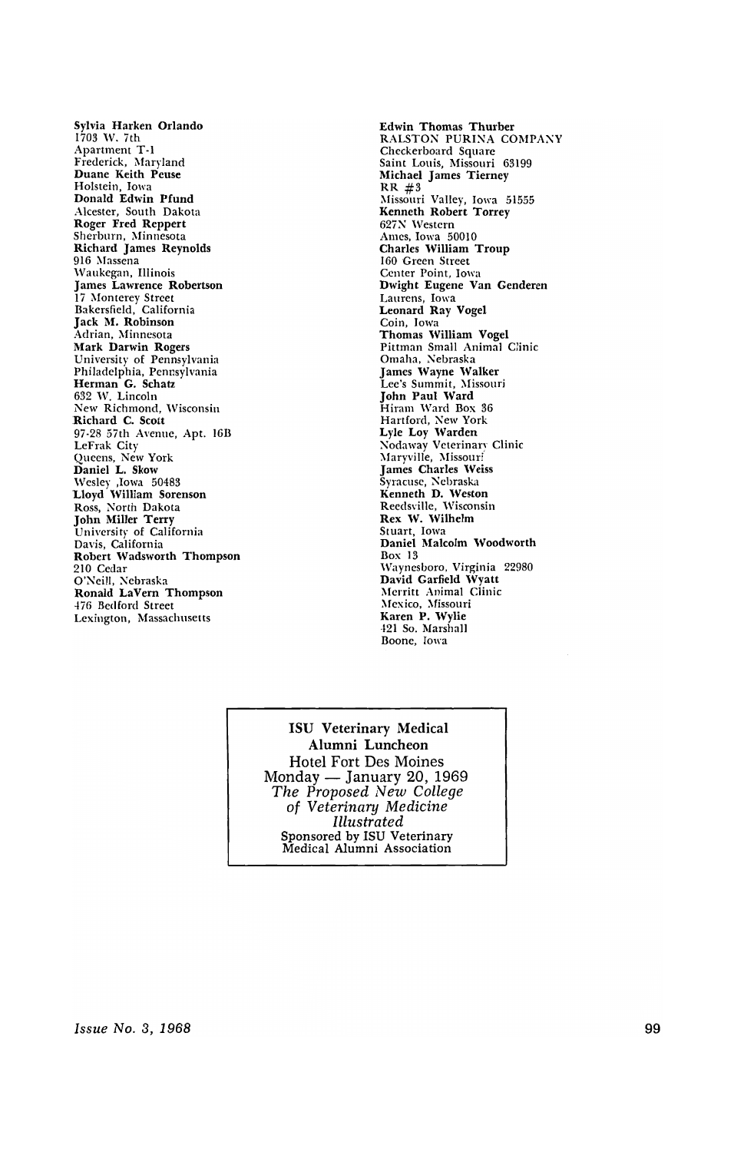Sylvia Harken Orlando 1703 W. 7th Apartment T-l Frederick, Maryland Duane Keith Peuse Holstein, Iowa Donald Edwin Pfund Alcester, South Dakota Roger Fred Reppert Sherburn, Minnesota Richard James Reynolds 916 Massena Waukegan, Illinois James Lawrence Robertson 17 Monterey Street Bakersfield, California Jack M, Robinson Adrian, Minnesota Mark Darwin Rogers University of Pennsylvania Philadelphia, Pennsylvania Herman G. Schatz 632 W. Lincoln New Richmond, Wisconsin Richard C. Scott 97·28 57th Avenue, Apt. 16B LeFrak City Queens, New York Daniel L. Skow Wesley ,Iowa 50483 Lloyd William Sorenson Ross, North Dakota John Miller Terry University of California Davis, California Robert Wadsworth Thompson 210 Cedar O'Neill, Nebraska Ronald LaVern Thompson .f76 Bedford Street Lexington, Massachusetts

Edwin Thomas Thurber RALSTON PURINA COMPANY Checkerboard Square Saint Louis, Missouri 63199 Michael James Tierney  $RR$   $\#3$ Missouri Valley, Iowa 51555 Kenneth Robert Torrey 627N Western Amcs, Iowa 50010 Charles William Troup 160 Green Street Center Point, Iowa Dwight Eugene Van Genderen Laurens, Iowa Leonard Ray Vogel Coin, Iowa Thomas William Vogel Pittman Small Animal Clinic Omaha, Nebraska James Wayne Walker Lee's Summit, Missouri John Paul Ward Hiram Ward Box 36 Hartford, New York Lyle Loy Warden Nodaway Veterinary Clinic ;\Iaryville, Missouri James Charles Weiss Syracuse, Nebraska Kenneth D. Weston Reedsville, Wisconsin Rex W. Wilhelm Stuart, Iowa Daniel Malcolm Woodworth Box 13 Wayncsboro, Virginia 22980 David Garfield Wyatt Merritt Animal Clinic Mexico, Missouri Karen P. Wylie ·121 So. Marshall Boone, Iowa

ISU Veterinary Medical Alumni Luncheon Hotel Fort Des Moines Monday — January 20, 1969 *The Proposed New College of Veterinary Medicine Illustrated*  Sponsored by ISU Veterinary Medical Alumni Association